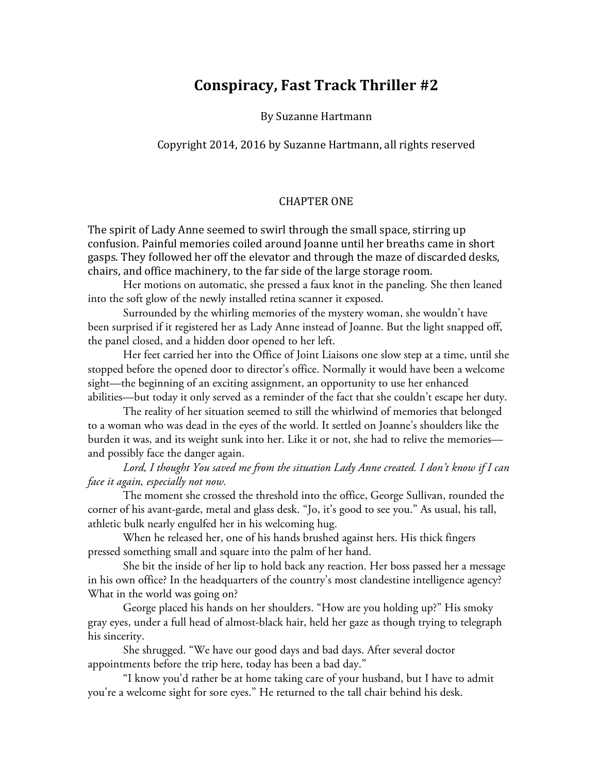## **Conspiracy, Fast Track Thriller #2**

By Suzanne Hartmann

Copyright 2014, 2016 by Suzanne Hartmann, all rights reserved

## **CHAPTER ONE**

The spirit of Lady Anne seemed to swirl through the small space, stirring up confusion. Painful memories coiled around Joanne until her breaths came in short gasps. They followed her off the elevator and through the maze of discarded desks, chairs, and office machinery, to the far side of the large storage room.

Her motions on automatic, she pressed a faux knot in the paneling. She then leaned into the soft glow of the newly installed retina scanner it exposed.

Surrounded by the whirling memories of the mystery woman, she wouldn't have been surprised if it registered her as Lady Anne instead of Joanne. But the light snapped off, the panel closed, and a hidden door opened to her left.

Her feet carried her into the Office of Joint Liaisons one slow step at a time, until she stopped before the opened door to director's office. Normally it would have been a welcome sight—the beginning of an exciting assignment, an opportunity to use her enhanced abilities—but today it only served as a reminder of the fact that she couldn't escape her duty.

The reality of her situation seemed to still the whirlwind of memories that belonged to a woman who was dead in the eyes of the world. It settled on Joanne's shoulders like the burden it was, and its weight sunk into her. Like it or not, she had to relive the memories and possibly face the danger again.

*Lord, I thought You saved me from the situation Lady Anne created. I don't know if I can face it again, especially not now.*

The moment she crossed the threshold into the office, George Sullivan, rounded the corner of his avant-garde, metal and glass desk. "Jo, it's good to see you." As usual, his tall, athletic bulk nearly engulfed her in his welcoming hug.

When he released her, one of his hands brushed against hers. His thick fingers pressed something small and square into the palm of her hand.

She bit the inside of her lip to hold back any reaction. Her boss passed her a message in his own office? In the headquarters of the country's most clandestine intelligence agency? What in the world was going on?

George placed his hands on her shoulders. "How are you holding up?" His smoky gray eyes, under a full head of almost-black hair, held her gaze as though trying to telegraph his sincerity.

She shrugged. "We have our good days and bad days. After several doctor appointments before the trip here, today has been a bad day."

"I know you'd rather be at home taking care of your husband, but I have to admit you're a welcome sight for sore eyes." He returned to the tall chair behind his desk.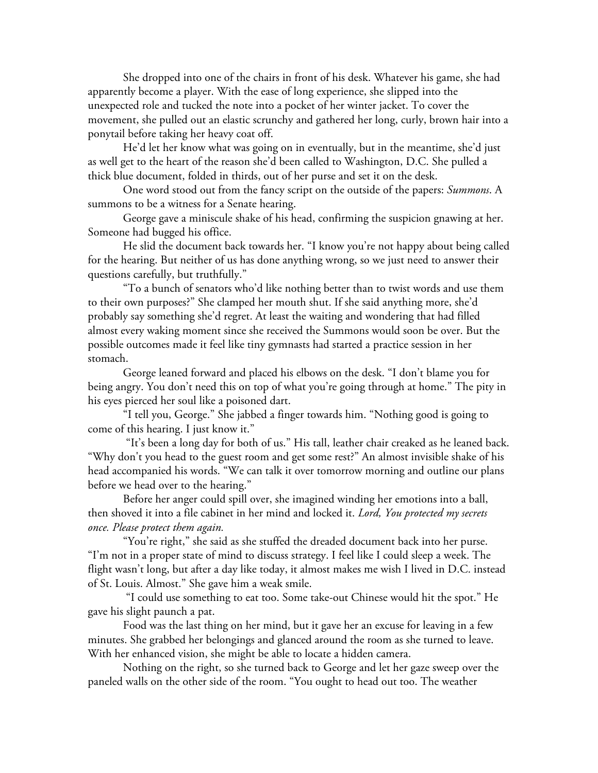She dropped into one of the chairs in front of his desk. Whatever his game, she had apparently become a player. With the ease of long experience, she slipped into the unexpected role and tucked the note into a pocket of her winter jacket. To cover the movement, she pulled out an elastic scrunchy and gathered her long, curly, brown hair into a ponytail before taking her heavy coat off.

He'd let her know what was going on in eventually, but in the meantime, she'd just as well get to the heart of the reason she'd been called to Washington, D.C. She pulled a thick blue document, folded in thirds, out of her purse and set it on the desk.

One word stood out from the fancy script on the outside of the papers: *Summons*. A summons to be a witness for a Senate hearing.

George gave a miniscule shake of his head, confirming the suspicion gnawing at her. Someone had bugged his office.

He slid the document back towards her. "I know you're not happy about being called for the hearing. But neither of us has done anything wrong, so we just need to answer their questions carefully, but truthfully."

"To a bunch of senators who'd like nothing better than to twist words and use them to their own purposes?" She clamped her mouth shut. If she said anything more, she'd probably say something she'd regret. At least the waiting and wondering that had filled almost every waking moment since she received the Summons would soon be over. But the possible outcomes made it feel like tiny gymnasts had started a practice session in her stomach.

George leaned forward and placed his elbows on the desk. "I don't blame you for being angry. You don't need this on top of what you're going through at home." The pity in his eyes pierced her soul like a poisoned dart.

"I tell you, George." She jabbed a finger towards him. "Nothing good is going to come of this hearing. I just know it."

 "It's been a long day for both of us." His tall, leather chair creaked as he leaned back. "Why don't you head to the guest room and get some rest?" An almost invisible shake of his head accompanied his words. "We can talk it over tomorrow morning and outline our plans before we head over to the hearing."

Before her anger could spill over, she imagined winding her emotions into a ball, then shoved it into a file cabinet in her mind and locked it. *Lord, You protected my secrets once. Please protect them again.*

"You're right," she said as she stuffed the dreaded document back into her purse. "I'm not in a proper state of mind to discuss strategy. I feel like I could sleep a week. The flight wasn't long, but after a day like today, it almost makes me wish I lived in D.C. instead of St. Louis. Almost." She gave him a weak smile.

 "I could use something to eat too. Some take-out Chinese would hit the spot." He gave his slight paunch a pat.

Food was the last thing on her mind, but it gave her an excuse for leaving in a few minutes. She grabbed her belongings and glanced around the room as she turned to leave. With her enhanced vision, she might be able to locate a hidden camera.

Nothing on the right, so she turned back to George and let her gaze sweep over the paneled walls on the other side of the room. "You ought to head out too. The weather